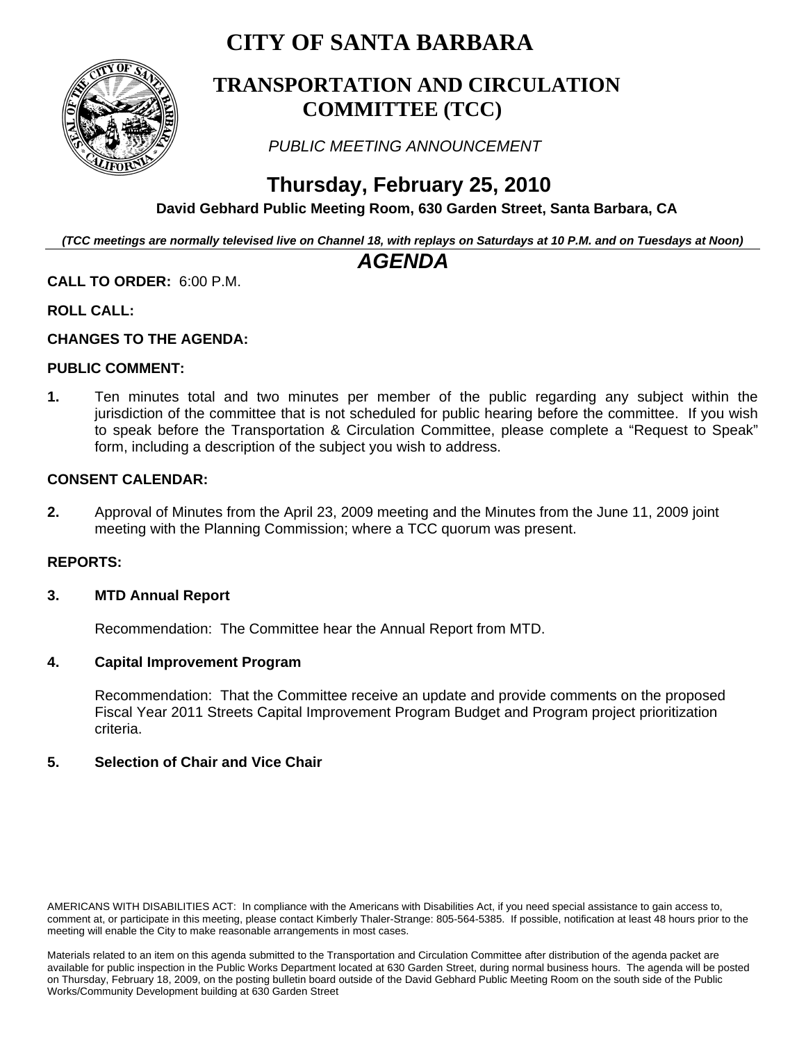# **CITY OF SANTA BARBARA**



### **TRANSPORTATION AND CIRCULATION COMMITTEE (TCC)**

 *PUBLIC MEETING ANNOUNCEMENT* 

# **Thursday, February 25, 2010**

 **David Gebhard Public Meeting Room, 630 Garden Street, Santa Barbara, CA** 

*(TCC meetings are normally televised live on Channel 18, with replays on Saturdays at 10 P.M. and on Tuesdays at Noon)*

### *AGENDA*

#### **CALL TO ORDER:** 6:00 P.M.

#### **ROLL CALL:**

#### **CHANGES TO THE AGENDA:**

#### **PUBLIC COMMENT:**

**1.** Ten minutes total and two minutes per member of the public regarding any subject within the jurisdiction of the committee that is not scheduled for public hearing before the committee. If you wish to speak before the Transportation & Circulation Committee, please complete a "Request to Speak" form, including a description of the subject you wish to address.

#### **CONSENT CALENDAR:**

**2.** Approval of Minutes from the April 23, 2009 meeting and the Minutes from the June 11, 2009 joint meeting with the Planning Commission; where a TCC quorum was present.

#### **REPORTS:**

#### **3. MTD Annual Report**

Recommendation: The Committee hear the Annual Report from MTD.

#### **4. Capital Improvement Program**

Recommendation: That the Committee receive an update and provide comments on the proposed Fiscal Year 2011 Streets Capital Improvement Program Budget and Program project prioritization criteria.

#### **5. Selection of Chair and Vice Chair**

AMERICANS WITH DISABILITIES ACT: In compliance with the Americans with Disabilities Act, if you need special assistance to gain access to, comment at, or participate in this meeting, please contact Kimberly Thaler-Strange: 805-564-5385. If possible, notification at least 48 hours prior to the meeting will enable the City to make reasonable arrangements in most cases.

Materials related to an item on this agenda submitted to the Transportation and Circulation Committee after distribution of the agenda packet are available for public inspection in the Public Works Department located at 630 Garden Street, during normal business hours. The agenda will be posted on Thursday, February 18, 2009, on the posting bulletin board outside of the David Gebhard Public Meeting Room on the south side of the Public Works/Community Development building at 630 Garden Street